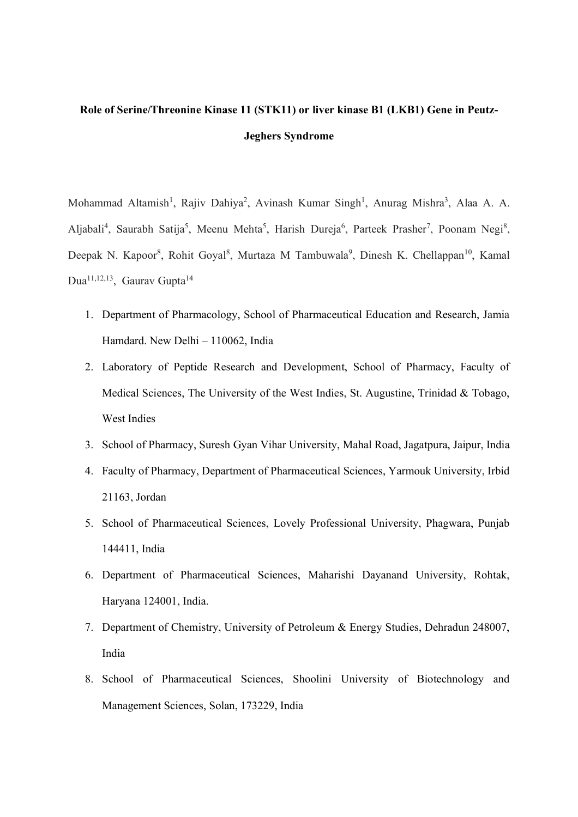# **Role of Serine/Threonine Kinase 11 (STK11) or liver kinase B1 (LKB1) Gene in Peutz-Jeghers Syndrome**

Mohammad Altamish<sup>1</sup>, Rajiv Dahiya<sup>2</sup>, Avinash Kumar Singh<sup>1</sup>, Anurag Mishra<sup>3</sup>, Alaa A. A. Aljabali<sup>4</sup>, Saurabh Satija<sup>5</sup>, Meenu Mehta<sup>5</sup>, Harish Dureja<sup>6</sup>, Parteek Prasher<sup>7</sup>, Poonam Negi<sup>8</sup>, Deepak N. Kapoor<sup>8</sup>, Rohit Goyal<sup>8</sup>, Murtaza M Tambuwala<sup>9</sup>, Dinesh K. Chellappan<sup>10</sup>, Kamal Dua<sup>11,12,13</sup>, Gaurav Gupta<sup>14</sup>

- 1. Department of Pharmacology, School of Pharmaceutical Education and Research, Jamia Hamdard. New Delhi – 110062, India
- 2. Laboratory of Peptide Research and Development, School of Pharmacy, Faculty of Medical Sciences, The University of the West Indies, St. Augustine, Trinidad & Tobago, West Indies
- 3. School of Pharmacy, Suresh Gyan Vihar University, Mahal Road, Jagatpura, Jaipur, India
- 4. Faculty of Pharmacy, Department of Pharmaceutical Sciences, Yarmouk University, Irbid 21163, Jordan
- 5. School of Pharmaceutical Sciences, Lovely Professional University, Phagwara, Punjab 144411, India
- 6. Department of Pharmaceutical Sciences, Maharishi Dayanand University, Rohtak, Haryana 124001, India.
- 7. Department of Chemistry, University of Petroleum & Energy Studies, Dehradun 248007, India
- 8. School of Pharmaceutical Sciences, Shoolini University of Biotechnology and Management Sciences, Solan, 173229, India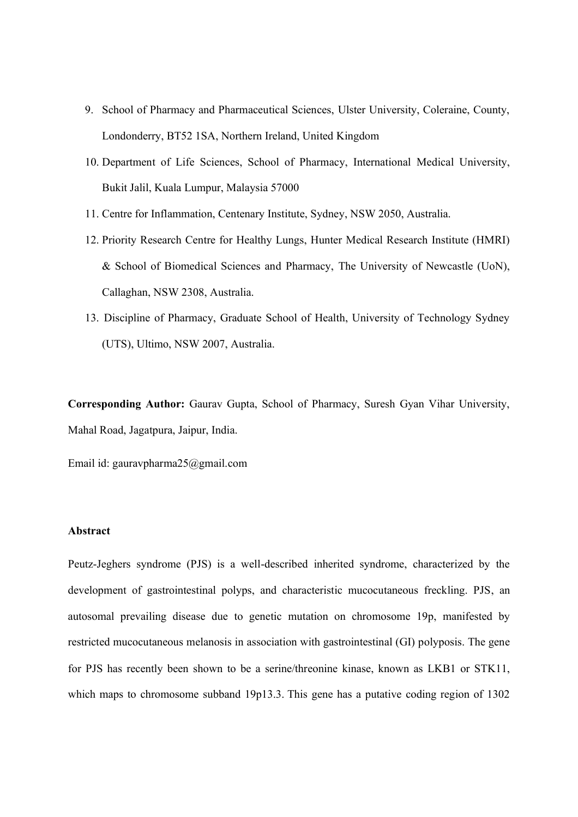- 9. School of Pharmacy and Pharmaceutical Sciences, Ulster University, Coleraine, County, Londonderry, BT52 1SA, Northern Ireland, United Kingdom
- 10. Department of Life Sciences, School of Pharmacy, International Medical University, Bukit Jalil, Kuala Lumpur, Malaysia 57000
- 11. Centre for Inflammation, Centenary Institute, Sydney, NSW 2050, Australia.
- 12. Priority Research Centre for Healthy Lungs, Hunter Medical Research Institute (HMRI) & School of Biomedical Sciences and Pharmacy, The University of Newcastle (UoN), Callaghan, NSW 2308, Australia.
- 13. Discipline of Pharmacy, Graduate School of Health, University of Technology Sydney (UTS), Ultimo, NSW 2007, Australia.

**Corresponding Author:** Gaurav Gupta, School of Pharmacy, Suresh Gyan Vihar University, Mahal Road, Jagatpura, Jaipur, India.

Email id: gauravpharma25@gmail.com

#### **Abstract**

Peutz-Jeghers syndrome (PJS) is a well-described inherited syndrome, characterized by the development of gastrointestinal polyps, and characteristic mucocutaneous freckling. PJS, an autosomal prevailing disease due to genetic mutation on chromosome 19p, manifested by restricted mucocutaneous melanosis in association with gastrointestinal (GI) polyposis. The gene for PJS has recently been shown to be a serine/threonine kinase, known as LKB1 or STK11, which maps to chromosome subband 19p13.3. This gene has a putative coding region of 1302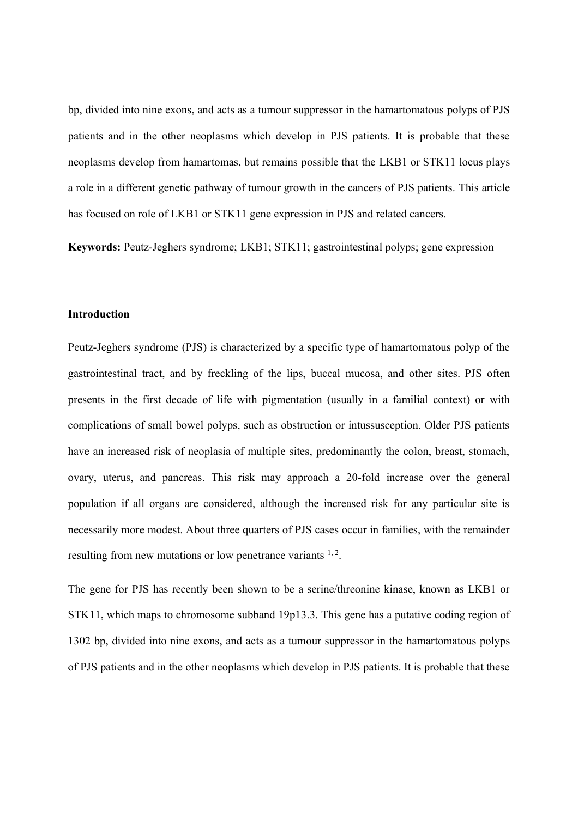bp, divided into nine exons, and acts as a tumour suppressor in the hamartomatous polyps of PJS patients and in the other neoplasms which develop in PJS patients. It is probable that these neoplasms develop from hamartomas, but remains possible that the LKB1 or STK11 locus plays a role in a different genetic pathway of tumour growth in the cancers of PJS patients. This article has focused on role of LKB1 or STK11 gene expression in PJS and related cancers.

**Keywords:** Peutz-Jeghers syndrome; LKB1; STK11; gastrointestinal polyps; gene expression

### **Introduction**

Peutz-Jeghers syndrome (PJS) is characterized by a specific type of hamartomatous polyp of the gastrointestinal tract, and by freckling of the lips, buccal mucosa, and other sites. PJS often presents in the first decade of life with pigmentation (usually in a familial context) or with complications of small bowel polyps, such as obstruction or intussusception. Older PJS patients have an increased risk of neoplasia of multiple sites, predominantly the colon, breast, stomach, ovary, uterus, and pancreas. This risk may approach a 20-fold increase over the general population if all organs are considered, although the increased risk for any particular site is necessarily more modest. About three quarters of PJS cases occur in families, with the remainder resulting from new mutations or low penetrance variants  $1, 2$ .

The gene for PJS has recently been shown to be a serine/threonine kinase, known as LKB1 or STK11, which maps to chromosome subband 19p13.3. This gene has a putative coding region of 1302 bp, divided into nine exons, and acts as a tumour suppressor in the hamartomatous polyps of PJS patients and in the other neoplasms which develop in PJS patients. It is probable that these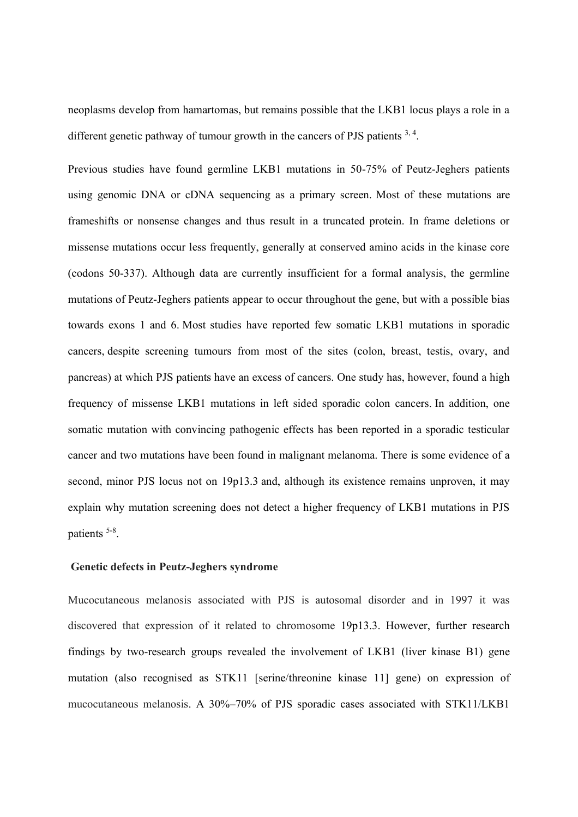neoplasms develop from hamartomas, but remains possible that the LKB1 locus plays a role in a different genetic pathway of tumour growth in the cancers of PJS patients  $3, 4$ .

Previous studies have found germline LKB1 mutations in 50-75% of Peutz-Jeghers patients using genomic DNA or cDNA sequencing as a primary screen. Most of these mutations are frameshifts or nonsense changes and thus result in a truncated protein. In frame deletions or missense mutations occur less frequently, generally at conserved amino acids in the kinase core (codons 50-337). Although data are currently insufficient for a formal analysis, the germline mutations of Peutz-Jeghers patients appear to occur throughout the gene, but with a possible bias towards exons 1 and 6. Most studies have reported few somatic LKB1 mutations in sporadic cancers, despite screening tumours from most of the sites (colon, breast, testis, ovary, and pancreas) at which PJS patients have an excess of cancers. One study has, however, found a high frequency of missense LKB1 mutations in left sided sporadic colon cancers. In addition, one somatic mutation with convincing pathogenic effects has been reported in a sporadic testicular cancer and two mutations have been found in malignant melanoma. There is some evidence of a second, minor PJS locus not on 19p13.3 and, although its existence remains unproven, it may explain why mutation screening does not detect a higher frequency of LKB1 mutations in PJS patients <sup>5-8</sup>.

#### **Genetic defects in Peutz-Jeghers syndrome**

Mucocutaneous melanosis associated with PJS is autosomal disorder and in 1997 it was discovered that expression of it related to chromosome 19p13.3. However, further research findings by two-research groups revealed the involvement of LKB1 (liver kinase B1) gene mutation (also recognised as STK11 [serine/threonine kinase 11] gene) on expression of mucocutaneous melanosis. A 30%–70% of PJS sporadic cases associated with STK11/LKB1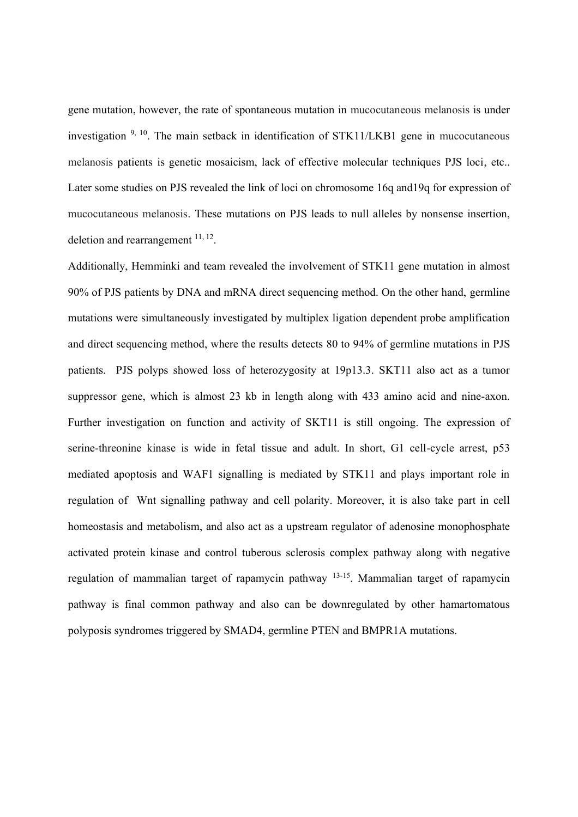gene mutation, however, the rate of spontaneous mutation in mucocutaneous melanosis is under investigation <sup>9, 10</sup>. The main setback in identification of STK11/LKB1 gene in mucocutaneous melanosis patients is genetic mosaicism, lack of effective molecular techniques PJS loci, etc.. Later some studies on PJS revealed the link of loci on chromosome 16q and19q for expression of mucocutaneous melanosis. These mutations on PJS leads to null alleles by nonsense insertion, deletion and rearrangement  $^{11, 12}$ .

Additionally, Hemminki and team revealed the involvement of STK11 gene mutation in almost 90% of PJS patients by DNA and mRNA direct sequencing method. On the other hand, germline mutations were simultaneously investigated by multiplex ligation dependent probe amplification and direct sequencing method, where the results detects 80 to 94% of germline mutations in PJS patients. PJS polyps showed loss of heterozygosity at 19p13.3. SKT11 also act as a tumor suppressor gene, which is almost 23 kb in length along with 433 amino acid and nine-axon. Further investigation on function and activity of SKT11 is still ongoing. The expression of serine-threonine kinase is wide in fetal tissue and adult. In short, G1 cell-cycle arrest, p53 mediated apoptosis and WAF1 signalling is mediated by STK11 and plays important role in regulation of Wnt signalling pathway and cell polarity. Moreover, it is also take part in cell homeostasis and metabolism, and also act as a upstream regulator of adenosine monophosphate activated protein kinase and control tuberous sclerosis complex pathway along with negative regulation of mammalian target of rapamycin pathway 13-15. Mammalian target of rapamycin pathway is final common pathway and also can be downregulated by other hamartomatous polyposis syndromes triggered by SMAD4, germline PTEN and BMPR1A mutations.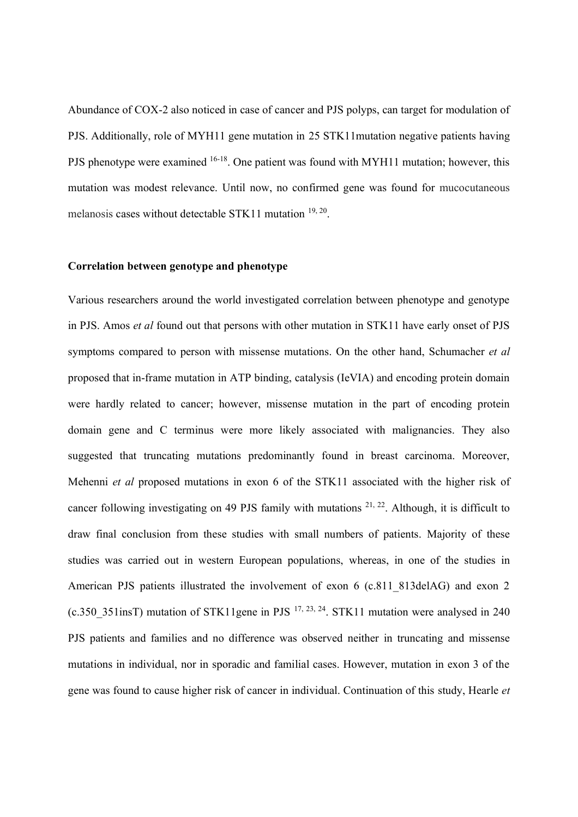Abundance of COX-2 also noticed in case of cancer and PJS polyps, can target for modulation of PJS. Additionally, role of MYH11 gene mutation in 25 STK11mutation negative patients having PJS phenotype were examined <sup>16-18</sup>. One patient was found with MYH11 mutation; however, this mutation was modest relevance. Until now, no confirmed gene was found for mucocutaneous melanosis cases without detectable STK11 mutation 19, 20.

#### **Correlation between genotype and phenotype**

Various researchers around the world investigated correlation between phenotype and genotype in PJS. Amos *et al* found out that persons with other mutation in STK11 have early onset of PJS symptoms compared to person with missense mutations. On the other hand, Schumacher *et al* proposed that in-frame mutation in ATP binding, catalysis (IeVIA) and encoding protein domain were hardly related to cancer; however, missense mutation in the part of encoding protein domain gene and C terminus were more likely associated with malignancies. They also suggested that truncating mutations predominantly found in breast carcinoma. Moreover, Mehenni *et al* proposed mutations in exon 6 of the STK11 associated with the higher risk of cancer following investigating on 49 PJS family with mutations  $2^{1, 22}$ . Although, it is difficult to draw final conclusion from these studies with small numbers of patients. Majority of these studies was carried out in western European populations, whereas, in one of the studies in American PJS patients illustrated the involvement of exon 6 (c.811 813delAG) and exon 2 (c.350  $351$ insT) mutation of STK11gene in PJS  $^{17, 23, 24}$ . STK11 mutation were analysed in 240 PJS patients and families and no difference was observed neither in truncating and missense mutations in individual, nor in sporadic and familial cases. However, mutation in exon 3 of the gene was found to cause higher risk of cancer in individual. Continuation of this study, Hearle *et*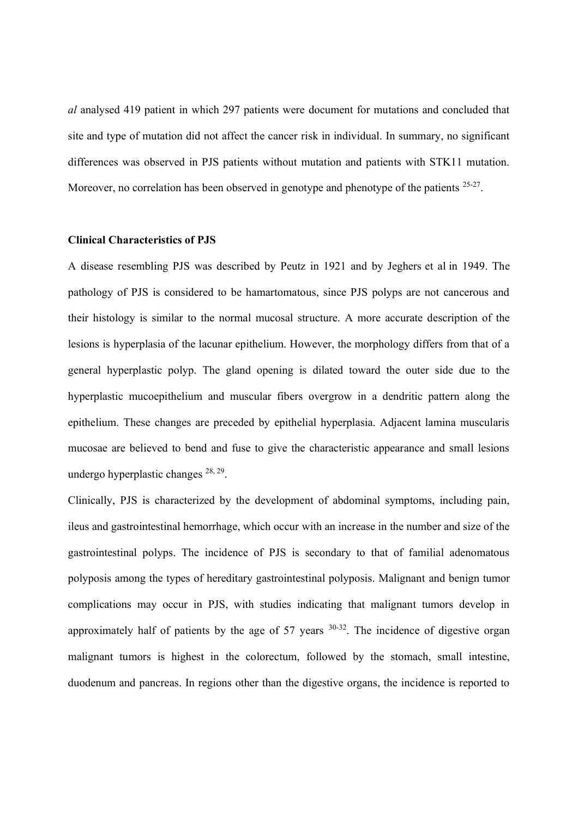*al* analysed 419 patient in which 297 patients were document for mutations and concluded that site and type of mutation did not affect the cancer risk in individual. In summary, no significant differences was observed in PJS patients without mutation and patients with STK11 mutation. Moreover, no correlation has been observed in genotype and phenotype of the patients <sup>25-27</sup>.

#### **Clinical Characteristics of PJS**

A disease resembling PJS was described by Peutz in 1921 and by Jeghers et al in 1949. The pathology of PJS is considered to be hamartomatous, since PJS polyps are not cancerous and their histology is similar to the normal mucosal structure. A more accurate description of the lesions is hyperplasia of the lacunar epithelium. However, the morphology differs from that of a general hyperplastic polyp. The gland opening is dilated toward the outer side due to the hyperplastic mucoepithelium and muscular fibers overgrow in a dendritic pattern along the epithelium. These changes are preceded by epithelial hyperplasia. Adjacent lamina muscularis mucosae are believed to bend and fuse to give the characteristic appearance and small lesions undergo hyperplastic changes  $^{28, 29}$ .

Clinically, PJS is characterized by the development of abdominal symptoms, including pain, ileus and gastrointestinal hemorrhage, which occur with an increase in the number and size of the gastrointestinal polyps. The incidence of PJS is secondary to that of familial adenomatous polyposis among the types of hereditary gastrointestinal polyposis. Malignant and benign tumor complications may occur in PJS, with studies indicating that malignant tumors develop in approximately half of patients by the age of 57 years  $30-32$ . The incidence of digestive organ malignant tumors is highest in the colorectum, followed by the stomach, small intestine, duodenum and pancreas. In regions other than the digestive organs, the incidence is reported to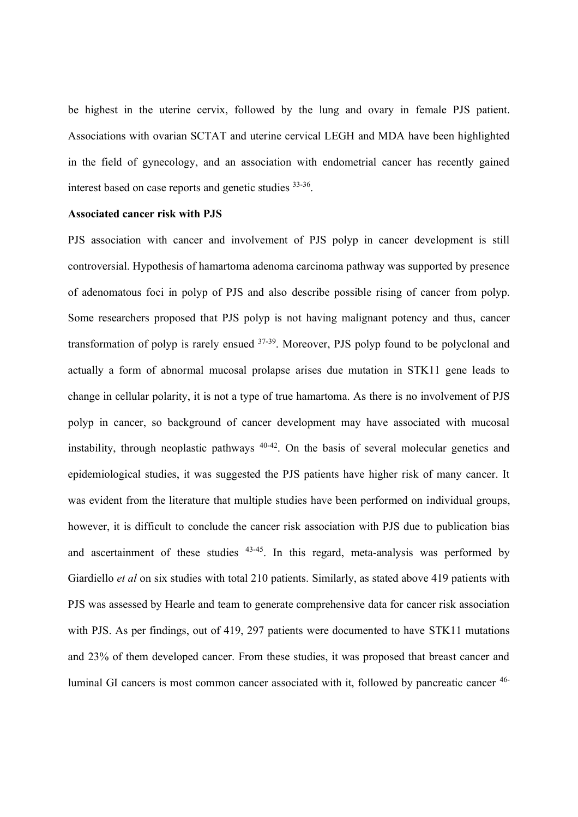be highest in the uterine cervix, followed by the lung and ovary in female PJS patient. Associations with ovarian SCTAT and uterine cervical LEGH and MDA have been highlighted in the field of gynecology, and an association with endometrial cancer has recently gained interest based on case reports and genetic studies 33-36.

#### **Associated cancer risk with PJS**

PJS association with cancer and involvement of PJS polyp in cancer development is still controversial. Hypothesis of hamartoma adenoma carcinoma pathway was supported by presence of adenomatous foci in polyp of PJS and also describe possible rising of cancer from polyp. Some researchers proposed that PJS polyp is not having malignant potency and thus, cancer transformation of polyp is rarely ensued 37-39. Moreover, PJS polyp found to be polyclonal and actually a form of abnormal mucosal prolapse arises due mutation in STK11 gene leads to change in cellular polarity, it is not a type of true hamartoma. As there is no involvement of PJS polyp in cancer, so background of cancer development may have associated with mucosal instability, through neoplastic pathways 40-42. On the basis of several molecular genetics and epidemiological studies, it was suggested the PJS patients have higher risk of many cancer. It was evident from the literature that multiple studies have been performed on individual groups, however, it is difficult to conclude the cancer risk association with PJS due to publication bias and ascertainment of these studies <sup>43-45</sup>. In this regard, meta-analysis was performed by Giardiello *et al* on six studies with total 210 patients. Similarly, as stated above 419 patients with PJS was assessed by Hearle and team to generate comprehensive data for cancer risk association with PJS. As per findings, out of 419, 297 patients were documented to have STK11 mutations and 23% of them developed cancer. From these studies, it was proposed that breast cancer and luminal GI cancers is most common cancer associated with it, followed by pancreatic cancer 46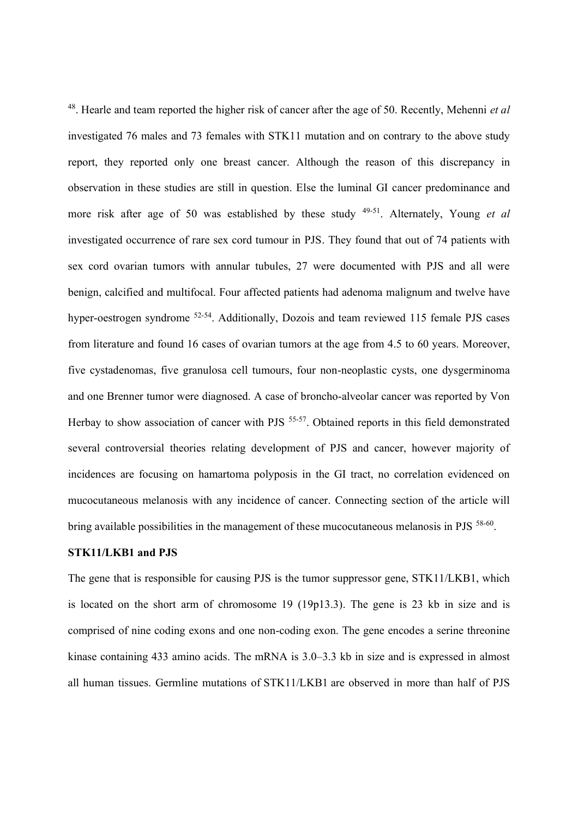48. Hearle and team reported the higher risk of cancer after the age of 50. Recently, Mehenni *et al* investigated 76 males and 73 females with STK11 mutation and on contrary to the above study report, they reported only one breast cancer. Although the reason of this discrepancy in observation in these studies are still in question. Else the luminal GI cancer predominance and more risk after age of 50 was established by these study 49-51. Alternately, Young *et al* investigated occurrence of rare sex cord tumour in PJS. They found that out of 74 patients with sex cord ovarian tumors with annular tubules, 27 were documented with PJS and all were benign, calcified and multifocal. Four affected patients had adenoma malignum and twelve have hyper-oestrogen syndrome <sup>52-54</sup>. Additionally, Dozois and team reviewed 115 female PJS cases from literature and found 16 cases of ovarian tumors at the age from 4.5 to 60 years. Moreover, five cystadenomas, five granulosa cell tumours, four non-neoplastic cysts, one dysgerminoma and one Brenner tumor were diagnosed. A case of broncho-alveolar cancer was reported by Von Herbay to show association of cancer with PJS <sup>55-57</sup>. Obtained reports in this field demonstrated several controversial theories relating development of PJS and cancer, however majority of incidences are focusing on hamartoma polyposis in the GI tract, no correlation evidenced on mucocutaneous melanosis with any incidence of cancer. Connecting section of the article will bring available possibilities in the management of these mucocutaneous melanosis in PJS <sup>58-60</sup>.

#### **STK11/LKB1 and PJS**

The gene that is responsible for causing PJS is the tumor suppressor gene, STK11/LKB1, which is located on the short arm of chromosome 19 (19p13.3). The gene is 23 kb in size and is comprised of nine coding exons and one non-coding exon. The gene encodes a serine threonine kinase containing 433 amino acids. The mRNA is 3.0–3.3 kb in size and is expressed in almost all human tissues. Germline mutations of STK11/LKB1 are observed in more than half of PJS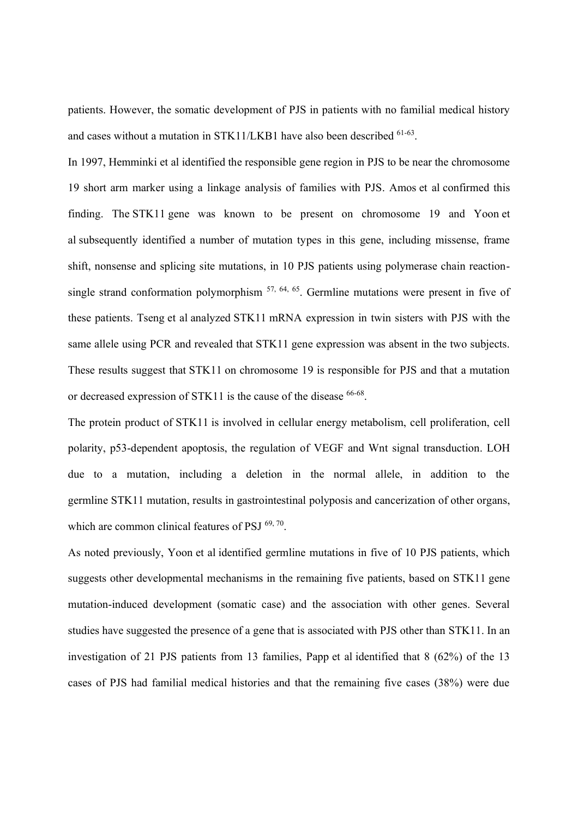patients. However, the somatic development of PJS in patients with no familial medical history and cases without a mutation in STK11/LKB1 have also been described 61-63.

In 1997, Hemminki et al identified the responsible gene region in PJS to be near the chromosome 19 short arm marker using a linkage analysis of families with PJS. Amos et al confirmed this finding. The STK11 gene was known to be present on chromosome 19 and Yoon et al subsequently identified a number of mutation types in this gene, including missense, frame shift, nonsense and splicing site mutations, in 10 PJS patients using polymerase chain reactionsingle strand conformation polymorphism <sup>57, 64, 65</sup>. Germline mutations were present in five of these patients. Tseng et al analyzed STK11 mRNA expression in twin sisters with PJS with the same allele using PCR and revealed that STK11 gene expression was absent in the two subjects. These results suggest that STK11 on chromosome 19 is responsible for PJS and that a mutation or decreased expression of STK11 is the cause of the disease <sup>66-68</sup>.

The protein product of STK11 is involved in cellular energy metabolism, cell proliferation, cell polarity, p53-dependent apoptosis, the regulation of VEGF and Wnt signal transduction. LOH due to a mutation, including a deletion in the normal allele, in addition to the germline STK11 mutation, results in gastrointestinal polyposis and cancerization of other organs, which are common clinical features of PSJ  $^{69, 70}$ .

As noted previously, Yoon et al identified germline mutations in five of 10 PJS patients, which suggests other developmental mechanisms in the remaining five patients, based on STK11 gene mutation-induced development (somatic case) and the association with other genes. Several studies have suggested the presence of a gene that is associated with PJS other than STK11. In an investigation of 21 PJS patients from 13 families, Papp et al identified that 8 (62%) of the 13 cases of PJS had familial medical histories and that the remaining five cases (38%) were due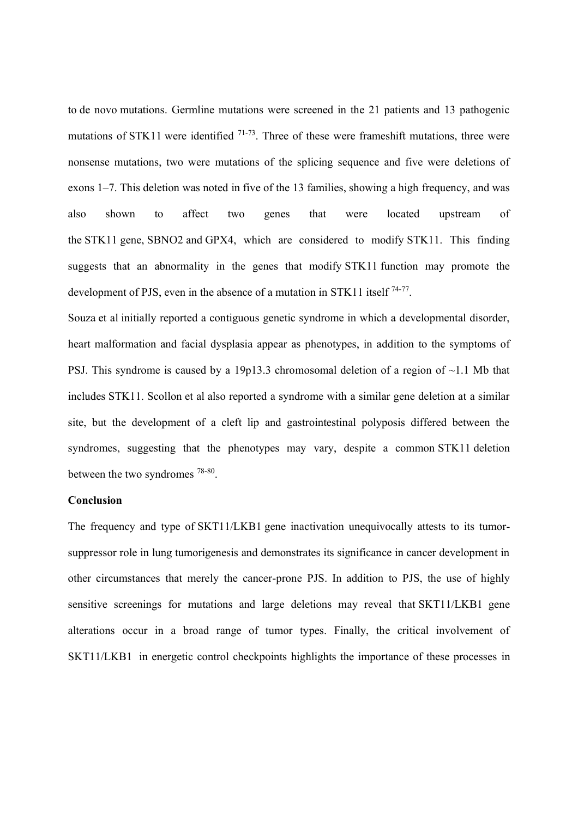to de novo mutations. Germline mutations were screened in the 21 patients and 13 pathogenic mutations of STK11 were identified <sup>71-73</sup>. Three of these were frameshift mutations, three were nonsense mutations, two were mutations of the splicing sequence and five were deletions of exons 1–7. This deletion was noted in five of the 13 families, showing a high frequency, and was also shown to affect two genes that were located upstream of the STK11 gene, SBNO2 and GPX4, which are considered to modify STK11. This finding suggests that an abnormality in the genes that modify STK11 function may promote the development of PJS, even in the absence of a mutation in STK11 itself <sup>74-77</sup>.

Souza et al initially reported a contiguous genetic syndrome in which a developmental disorder, heart malformation and facial dysplasia appear as phenotypes, in addition to the symptoms of PSJ. This syndrome is caused by a 19p13.3 chromosomal deletion of a region of  $\sim$ 1.1 Mb that includes STK11. Scollon et al also reported a syndrome with a similar gene deletion at a similar site, but the development of a cleft lip and gastrointestinal polyposis differed between the syndromes, suggesting that the phenotypes may vary, despite a common STK11 deletion between the two syndromes 78-80.

#### **Conclusion**

The frequency and type of SKT11/LKB1 gene inactivation unequivocally attests to its tumorsuppressor role in lung tumorigenesis and demonstrates its significance in cancer development in other circumstances that merely the cancer-prone PJS. In addition to PJS, the use of highly sensitive screenings for mutations and large deletions may reveal that SKT11/LKB1 gene alterations occur in a broad range of tumor types. Finally, the critical involvement of SKT11/LKB1 in energetic control checkpoints highlights the importance of these processes in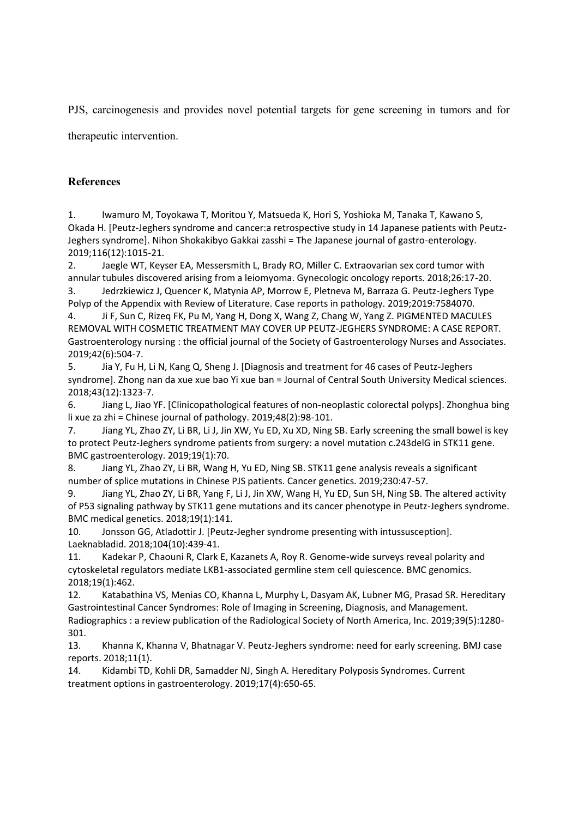PJS, carcinogenesis and provides novel potential targets for gene screening in tumors and for therapeutic intervention.

## **References**

1. Iwamuro M, Toyokawa T, Moritou Y, Matsueda K, Hori S, Yoshioka M, Tanaka T, Kawano S, Okada H. [Peutz-Jeghers syndrome and cancer:a retrospective study in 14 Japanese patients with Peutz-Jeghers syndrome]. Nihon Shokakibyo Gakkai zasshi = The Japanese journal of gastro-enterology. 2019;116(12):1015-21.

2. Jaegle WT, Keyser EA, Messersmith L, Brady RO, Miller C. Extraovarian sex cord tumor with annular tubules discovered arising from a leiomyoma. Gynecologic oncology reports. 2018;26:17-20. 3. Jedrzkiewicz J, Quencer K, Matynia AP, Morrow E, Pletneva M, Barraza G. Peutz-Jeghers Type

Polyp of the Appendix with Review of Literature. Case reports in pathology. 2019;2019:7584070.

4. Ji F, Sun C, Rizeq FK, Pu M, Yang H, Dong X, Wang Z, Chang W, Yang Z. PIGMENTED MACULES REMOVAL WITH COSMETIC TREATMENT MAY COVER UP PEUTZ-JEGHERS SYNDROME: A CASE REPORT. Gastroenterology nursing : the official journal of the Society of Gastroenterology Nurses and Associates. 2019;42(6):504-7.

5. Jia Y, Fu H, Li N, Kang Q, Sheng J. [Diagnosis and treatment for 46 cases of Peutz-Jeghers syndrome]. Zhong nan da xue xue bao Yi xue ban = Journal of Central South University Medical sciences. 2018;43(12):1323-7.

6. Jiang L, Jiao YF. [Clinicopathological features of non-neoplastic colorectal polyps]. Zhonghua bing li xue za zhi = Chinese journal of pathology. 2019;48(2):98-101.

7. Jiang YL, Zhao ZY, Li BR, Li J, Jin XW, Yu ED, Xu XD, Ning SB. Early screening the small bowel is key to protect Peutz-Jeghers syndrome patients from surgery: a novel mutation c.243delG in STK11 gene. BMC gastroenterology. 2019;19(1):70.

8. Jiang YL, Zhao ZY, Li BR, Wang H, Yu ED, Ning SB. STK11 gene analysis reveals a significant number of splice mutations in Chinese PJS patients. Cancer genetics. 2019;230:47-57.

9. Jiang YL, Zhao ZY, Li BR, Yang F, Li J, Jin XW, Wang H, Yu ED, Sun SH, Ning SB. The altered activity of P53 signaling pathway by STK11 gene mutations and its cancer phenotype in Peutz-Jeghers syndrome. BMC medical genetics. 2018;19(1):141.

10. Jonsson GG, Atladottir J. [Peutz-Jegher syndrome presenting with intussusception]. Laeknabladid. 2018;104(10):439-41.

11. Kadekar P, Chaouni R, Clark E, Kazanets A, Roy R. Genome-wide surveys reveal polarity and cytoskeletal regulators mediate LKB1-associated germline stem cell quiescence. BMC genomics. 2018;19(1):462.

12. Katabathina VS, Menias CO, Khanna L, Murphy L, Dasyam AK, Lubner MG, Prasad SR. Hereditary Gastrointestinal Cancer Syndromes: Role of Imaging in Screening, Diagnosis, and Management. Radiographics : a review publication of the Radiological Society of North America, Inc. 2019;39(5):1280- 301.

13. Khanna K, Khanna V, Bhatnagar V. Peutz-Jeghers syndrome: need for early screening. BMJ case reports. 2018;11(1).

14. Kidambi TD, Kohli DR, Samadder NJ, Singh A. Hereditary Polyposis Syndromes. Current treatment options in gastroenterology. 2019;17(4):650-65.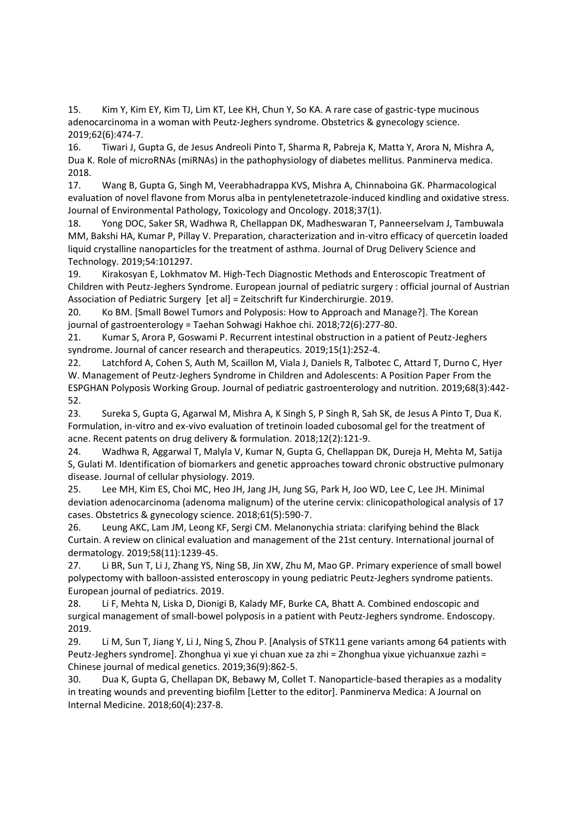15. Kim Y, Kim EY, Kim TJ, Lim KT, Lee KH, Chun Y, So KA. A rare case of gastric-type mucinous adenocarcinoma in a woman with Peutz-Jeghers syndrome. Obstetrics & gynecology science. 2019;62(6):474-7.

16. Tiwari J, Gupta G, de Jesus Andreoli Pinto T, Sharma R, Pabreja K, Matta Y, Arora N, Mishra A, Dua K. Role of microRNAs (miRNAs) in the pathophysiology of diabetes mellitus. Panminerva medica. 2018.

17. Wang B, Gupta G, Singh M, Veerabhadrappa KVS, Mishra A, Chinnaboina GK. Pharmacological evaluation of novel flavone from Morus alba in pentylenetetrazole-induced kindling and oxidative stress. Journal of Environmental Pathology, Toxicology and Oncology. 2018;37(1).

18. Yong DOC, Saker SR, Wadhwa R, Chellappan DK, Madheswaran T, Panneerselvam J, Tambuwala MM, Bakshi HA, Kumar P, Pillay V. Preparation, characterization and in-vitro efficacy of quercetin loaded liquid crystalline nanoparticles for the treatment of asthma. Journal of Drug Delivery Science and Technology. 2019;54:101297.

19. Kirakosyan E, Lokhmatov M. High-Tech Diagnostic Methods and Enteroscopic Treatment of Children with Peutz-Jeghers Syndrome. European journal of pediatric surgery : official journal of Austrian Association of Pediatric Surgery [et al] = Zeitschrift fur Kinderchirurgie. 2019.

20. Ko BM. [Small Bowel Tumors and Polyposis: How to Approach and Manage?]. The Korean journal of gastroenterology = Taehan Sohwagi Hakhoe chi. 2018;72(6):277-80.

21. Kumar S, Arora P, Goswami P. Recurrent intestinal obstruction in a patient of Peutz-Jeghers syndrome. Journal of cancer research and therapeutics. 2019;15(1):252-4.

22. Latchford A, Cohen S, Auth M, Scaillon M, Viala J, Daniels R, Talbotec C, Attard T, Durno C, Hyer W. Management of Peutz-Jeghers Syndrome in Children and Adolescents: A Position Paper From the ESPGHAN Polyposis Working Group. Journal of pediatric gastroenterology and nutrition. 2019;68(3):442- 52.

23. Sureka S, Gupta G, Agarwal M, Mishra A, K Singh S, P Singh R, Sah SK, de Jesus A Pinto T, Dua K. Formulation, in-vitro and ex-vivo evaluation of tretinoin loaded cubosomal gel for the treatment of acne. Recent patents on drug delivery & formulation. 2018;12(2):121-9.

24. Wadhwa R, Aggarwal T, Malyla V, Kumar N, Gupta G, Chellappan DK, Dureja H, Mehta M, Satija S, Gulati M. Identification of biomarkers and genetic approaches toward chronic obstructive pulmonary disease. Journal of cellular physiology. 2019.

25. Lee MH, Kim ES, Choi MC, Heo JH, Jang JH, Jung SG, Park H, Joo WD, Lee C, Lee JH. Minimal deviation adenocarcinoma (adenoma malignum) of the uterine cervix: clinicopathological analysis of 17 cases. Obstetrics & gynecology science. 2018;61(5):590-7.

26. Leung AKC, Lam JM, Leong KF, Sergi CM. Melanonychia striata: clarifying behind the Black Curtain. A review on clinical evaluation and management of the 21st century. International journal of dermatology. 2019;58(11):1239-45.

27. Li BR, Sun T, Li J, Zhang YS, Ning SB, Jin XW, Zhu M, Mao GP. Primary experience of small bowel polypectomy with balloon-assisted enteroscopy in young pediatric Peutz-Jeghers syndrome patients. European journal of pediatrics. 2019.

28. Li F, Mehta N, Liska D, Dionigi B, Kalady MF, Burke CA, Bhatt A. Combined endoscopic and surgical management of small-bowel polyposis in a patient with Peutz-Jeghers syndrome. Endoscopy. 2019.

29. Li M, Sun T, Jiang Y, Li J, Ning S, Zhou P. [Analysis of STK11 gene variants among 64 patients with Peutz-Jeghers syndrome]. Zhonghua yi xue yi chuan xue za zhi = Zhonghua yixue yichuanxue zazhi = Chinese journal of medical genetics. 2019;36(9):862-5.

30. Dua K, Gupta G, Chellapan DK, Bebawy M, Collet T. Nanoparticle-based therapies as a modality in treating wounds and preventing biofilm [Letter to the editor]. Panminerva Medica: A Journal on Internal Medicine. 2018;60(4):237-8.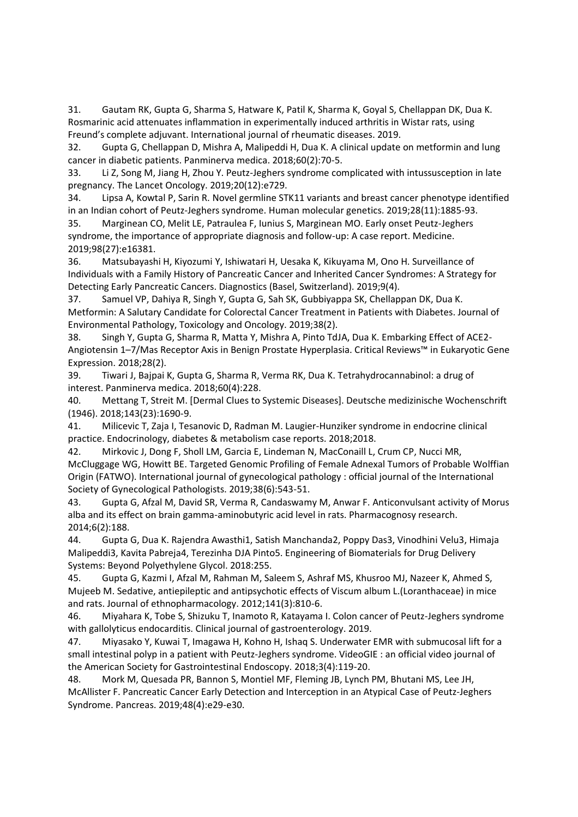31. Gautam RK, Gupta G, Sharma S, Hatware K, Patil K, Sharma K, Goyal S, Chellappan DK, Dua K. Rosmarinic acid attenuates inflammation in experimentally induced arthritis in Wistar rats, using Freund's complete adjuvant. International journal of rheumatic diseases. 2019.

32. Gupta G, Chellappan D, Mishra A, Malipeddi H, Dua K. A clinical update on metformin and lung cancer in diabetic patients. Panminerva medica. 2018;60(2):70-5.

33. Li Z, Song M, Jiang H, Zhou Y. Peutz-Jeghers syndrome complicated with intussusception in late pregnancy. The Lancet Oncology. 2019;20(12):e729.

34. Lipsa A, Kowtal P, Sarin R. Novel germline STK11 variants and breast cancer phenotype identified in an Indian cohort of Peutz-Jeghers syndrome. Human molecular genetics. 2019;28(11):1885-93.

35. Marginean CO, Melit LE, Patraulea F, Iunius S, Marginean MO. Early onset Peutz-Jeghers syndrome, the importance of appropriate diagnosis and follow-up: A case report. Medicine. 2019;98(27):e16381.

36. Matsubayashi H, Kiyozumi Y, Ishiwatari H, Uesaka K, Kikuyama M, Ono H. Surveillance of Individuals with a Family History of Pancreatic Cancer and Inherited Cancer Syndromes: A Strategy for Detecting Early Pancreatic Cancers. Diagnostics (Basel, Switzerland). 2019;9(4).

37. Samuel VP, Dahiya R, Singh Y, Gupta G, Sah SK, Gubbiyappa SK, Chellappan DK, Dua K. Metformin: A Salutary Candidate for Colorectal Cancer Treatment in Patients with Diabetes. Journal of Environmental Pathology, Toxicology and Oncology. 2019;38(2).

38. Singh Y, Gupta G, Sharma R, Matta Y, Mishra A, Pinto TdJA, Dua K. Embarking Effect of ACE2- Angiotensin 1–7/Mas Receptor Axis in Benign Prostate Hyperplasia. Critical Reviews™ in Eukaryotic Gene Expression. 2018;28(2).

39. Tiwari J, Bajpai K, Gupta G, Sharma R, Verma RK, Dua K. Tetrahydrocannabinol: a drug of interest. Panminerva medica. 2018;60(4):228.

40. Mettang T, Streit M. [Dermal Clues to Systemic Diseases]. Deutsche medizinische Wochenschrift (1946). 2018;143(23):1690-9.

41. Milicevic T, Zaja I, Tesanovic D, Radman M. Laugier-Hunziker syndrome in endocrine clinical practice. Endocrinology, diabetes & metabolism case reports. 2018;2018.

42. Mirkovic J, Dong F, Sholl LM, Garcia E, Lindeman N, MacConaill L, Crum CP, Nucci MR, McCluggage WG, Howitt BE. Targeted Genomic Profiling of Female Adnexal Tumors of Probable Wolffian Origin (FATWO). International journal of gynecological pathology : official journal of the International Society of Gynecological Pathologists. 2019;38(6):543-51.

43. Gupta G, Afzal M, David SR, Verma R, Candaswamy M, Anwar F. Anticonvulsant activity of Morus alba and its effect on brain gamma-aminobutyric acid level in rats. Pharmacognosy research. 2014;6(2):188.

44. Gupta G, Dua K. Rajendra Awasthi1, Satish Manchanda2, Poppy Das3, Vinodhini Velu3, Himaja Malipeddi3, Kavita Pabreja4, Terezinha DJA Pinto5. Engineering of Biomaterials for Drug Delivery Systems: Beyond Polyethylene Glycol. 2018:255.

45. Gupta G, Kazmi I, Afzal M, Rahman M, Saleem S, Ashraf MS, Khusroo MJ, Nazeer K, Ahmed S, Mujeeb M. Sedative, antiepileptic and antipsychotic effects of Viscum album L.(Loranthaceae) in mice and rats. Journal of ethnopharmacology. 2012;141(3):810-6.

46. Miyahara K, Tobe S, Shizuku T, Inamoto R, Katayama I. Colon cancer of Peutz-Jeghers syndrome with gallolyticus endocarditis. Clinical journal of gastroenterology. 2019.

47. Miyasako Y, Kuwai T, Imagawa H, Kohno H, Ishaq S. Underwater EMR with submucosal lift for a small intestinal polyp in a patient with Peutz-Jeghers syndrome. VideoGIE : an official video journal of the American Society for Gastrointestinal Endoscopy. 2018;3(4):119-20.

48. Mork M, Quesada PR, Bannon S, Montiel MF, Fleming JB, Lynch PM, Bhutani MS, Lee JH, McAllister F. Pancreatic Cancer Early Detection and Interception in an Atypical Case of Peutz-Jeghers Syndrome. Pancreas. 2019;48(4):e29-e30.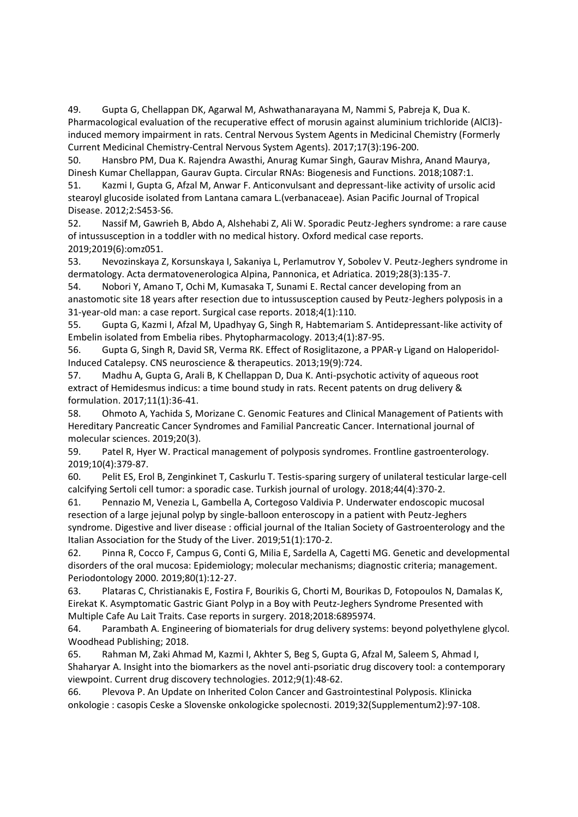49. Gupta G, Chellappan DK, Agarwal M, Ashwathanarayana M, Nammi S, Pabreja K, Dua K. Pharmacological evaluation of the recuperative effect of morusin against aluminium trichloride (AlCl3) induced memory impairment in rats. Central Nervous System Agents in Medicinal Chemistry (Formerly Current Medicinal Chemistry-Central Nervous System Agents). 2017;17(3):196-200.

50. Hansbro PM, Dua K. Rajendra Awasthi, Anurag Kumar Singh, Gaurav Mishra, Anand Maurya, Dinesh Kumar Chellappan, Gaurav Gupta. Circular RNAs: Biogenesis and Functions. 2018;1087:1.

51. Kazmi I, Gupta G, Afzal M, Anwar F. Anticonvulsant and depressant-like activity of ursolic acid stearoyl glucoside isolated from Lantana camara L.(verbanaceae). Asian Pacific Journal of Tropical Disease. 2012;2:S453-S6.

52. Nassif M, Gawrieh B, Abdo A, Alshehabi Z, Ali W. Sporadic Peutz-Jeghers syndrome: a rare cause of intussusception in a toddler with no medical history. Oxford medical case reports. 2019;2019(6):omz051.

53. Nevozinskaya Z, Korsunskaya I, Sakaniya L, Perlamutrov Y, Sobolev V. Peutz-Jeghers syndrome in dermatology. Acta dermatovenerologica Alpina, Pannonica, et Adriatica. 2019;28(3):135-7.

54. Nobori Y, Amano T, Ochi M, Kumasaka T, Sunami E. Rectal cancer developing from an anastomotic site 18 years after resection due to intussusception caused by Peutz-Jeghers polyposis in a 31-year-old man: a case report. Surgical case reports. 2018;4(1):110.

55. Gupta G, Kazmi I, Afzal M, Upadhyay G, Singh R, Habtemariam S. Antidepressant-like activity of Embelin isolated from Embelia ribes. Phytopharmacology. 2013;4(1):87-95.

56. Gupta G, Singh R, David SR, Verma RK. Effect of Rosiglitazone, a PPAR‐γ Ligand on Haloperidol‐ Induced Catalepsy. CNS neuroscience & therapeutics. 2013;19(9):724.

57. Madhu A, Gupta G, Arali B, K Chellappan D, Dua K. Anti-psychotic activity of aqueous root extract of Hemidesmus indicus: a time bound study in rats. Recent patents on drug delivery & formulation. 2017;11(1):36-41.

58. Ohmoto A, Yachida S, Morizane C. Genomic Features and Clinical Management of Patients with Hereditary Pancreatic Cancer Syndromes and Familial Pancreatic Cancer. International journal of molecular sciences. 2019;20(3).

59. Patel R, Hyer W. Practical management of polyposis syndromes. Frontline gastroenterology. 2019;10(4):379-87.

60. Pelit ES, Erol B, Zenginkinet T, Caskurlu T. Testis-sparing surgery of unilateral testicular large-cell calcifying Sertoli cell tumor: a sporadic case. Turkish journal of urology. 2018;44(4):370-2.

61. Pennazio M, Venezia L, Gambella A, Cortegoso Valdivia P. Underwater endoscopic mucosal resection of a large jejunal polyp by single-balloon enteroscopy in a patient with Peutz-Jeghers syndrome. Digestive and liver disease : official journal of the Italian Society of Gastroenterology and the Italian Association for the Study of the Liver. 2019;51(1):170-2.

62. Pinna R, Cocco F, Campus G, Conti G, Milia E, Sardella A, Cagetti MG. Genetic and developmental disorders of the oral mucosa: Epidemiology; molecular mechanisms; diagnostic criteria; management. Periodontology 2000. 2019;80(1):12-27.

63. Plataras C, Christianakis E, Fostira F, Bourikis G, Chorti M, Bourikas D, Fotopoulos N, Damalas K, Eirekat K. Asymptomatic Gastric Giant Polyp in a Boy with Peutz-Jeghers Syndrome Presented with Multiple Cafe Au Lait Traits. Case reports in surgery. 2018;2018:6895974.

64. Parambath A. Engineering of biomaterials for drug delivery systems: beyond polyethylene glycol. Woodhead Publishing; 2018.

65. Rahman M, Zaki Ahmad M, Kazmi I, Akhter S, Beg S, Gupta G, Afzal M, Saleem S, Ahmad I, Shaharyar A. Insight into the biomarkers as the novel anti-psoriatic drug discovery tool: a contemporary viewpoint. Current drug discovery technologies. 2012;9(1):48-62.

66. Plevova P. An Update on Inherited Colon Cancer and Gastrointestinal Polyposis. Klinicka onkologie : casopis Ceske a Slovenske onkologicke spolecnosti. 2019;32(Supplementum2):97-108.